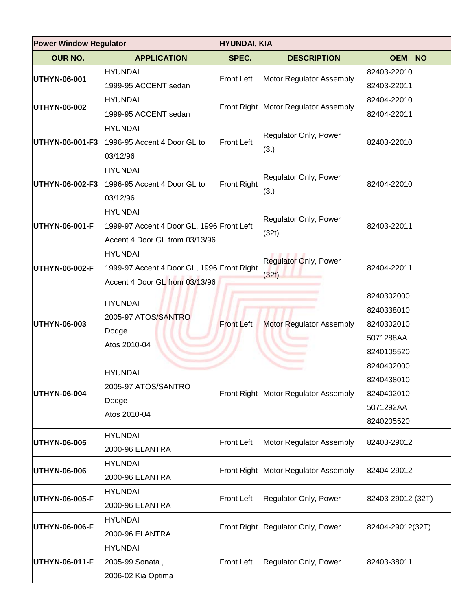| <b>Power Window Regulator</b><br><b>HYUNDAI, KIA</b> |                                                                                                |                   |                                        |                                                                    |  |
|------------------------------------------------------|------------------------------------------------------------------------------------------------|-------------------|----------------------------------------|--------------------------------------------------------------------|--|
| <b>OUR NO.</b>                                       | <b>APPLICATION</b>                                                                             | SPEC.             | <b>DESCRIPTION</b>                     | <b>OEM</b><br><b>NO</b>                                            |  |
| UTHYN-06-001                                         | <b>HYUNDAI</b><br>1999-95 ACCENT sedan                                                         | <b>Front Left</b> | Motor Regulator Assembly               | 82403-22010<br>82403-22011                                         |  |
| UTHYN-06-002                                         | <b>HYUNDAI</b><br>1999-95 ACCENT sedan                                                         |                   | Front Right   Motor Regulator Assembly | 82404-22010<br>82404-22011                                         |  |
| UTHYN-06-001-F3                                      | <b>HYUNDAI</b><br>1996-95 Accent 4 Door GL to<br>03/12/96                                      | <b>Front Left</b> | Regulator Only, Power<br>(3t)          | 82403-22010                                                        |  |
| UTHYN-06-002-F3                                      | <b>HYUNDAI</b><br>1996-95 Accent 4 Door GL to<br>03/12/96                                      | Front Right       | Regulator Only, Power<br>(3t)          | 82404-22010                                                        |  |
| UTHYN-06-001-F                                       | <b>HYUNDAI</b><br>1999-97 Accent 4 Door GL, 1996 Front Left<br>Accent 4 Door GL from 03/13/96  |                   | Regulator Only, Power<br>(32t)         | 82403-22011                                                        |  |
| UTHYN-06-002-F                                       | <b>HYUNDAI</b><br>1999-97 Accent 4 Door GL, 1996 Front Right<br>Accent 4 Door GL from 03/13/96 |                   | <b>Regulator Only, Power</b><br>(32t)  | 82404-22011                                                        |  |
| UTHYN-06-003                                         | <b>HYUNDAI</b><br>2005-97 ATOS/SANTRO<br>Dodge<br>Atos 2010-04                                 | <b>Front Left</b> | <b>Motor Regulator Assembly</b>        | 8240302000<br>8240338010<br>8240302010<br>5071288AA<br>8240105520  |  |
| UTHYN-06-004                                         | <b>HYUNDAI</b><br>2005-97 ATOS/SANTRO<br>Dodge<br>Atos 2010-04                                 |                   | Front Right Motor Regulator Assembly   | 8240402000<br>8240438010<br>8240402010 <br>5071292AA<br>8240205520 |  |
| UTHYN-06-005                                         | <b>HYUNDAI</b><br>2000-96 ELANTRA                                                              | <b>Front Left</b> | Motor Regulator Assembly               | 82403-29012                                                        |  |
| UTHYN-06-006                                         | <b>HYUNDAI</b><br>2000-96 ELANTRA                                                              | Front Right       | Motor Regulator Assembly               | 82404-29012                                                        |  |
| UTHYN-06-005-F                                       | <b>HYUNDAI</b><br>2000-96 ELANTRA                                                              | Front Left        | Regulator Only, Power                  | 82403-29012 (32T)                                                  |  |
| UTHYN-06-006-F                                       | <b>HYUNDAI</b><br>2000-96 ELANTRA                                                              | Front Right       | Regulator Only, Power                  | 82404-29012(32T)                                                   |  |
| UTHYN-06-011-F                                       | <b>HYUNDAI</b><br>2005-99 Sonata,<br>2006-02 Kia Optima                                        | Front Left        | Regulator Only, Power                  | 82403-38011                                                        |  |